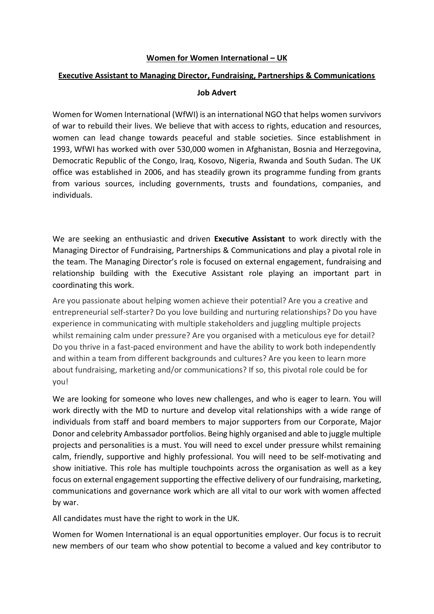## **Women for Women International – UK**

## **Executive Assistant to Managing Director, Fundraising, Partnerships & Communications**

## **Job Advert**

Women for Women International (WfWI) is an international NGO that helps women survivors of war to rebuild their lives. We believe that with access to rights, education and resources, women can lead change towards peaceful and stable societies. Since establishment in 1993, WfWI has worked with over 530,000 women in Afghanistan, Bosnia and Herzegovina, Democratic Republic of the Congo, Iraq, Kosovo, Nigeria, Rwanda and South Sudan. The UK office was established in 2006, and has steadily grown its programme funding from grants from various sources, including governments, trusts and foundations, companies, and individuals.

We are seeking an enthusiastic and driven **Executive Assistant** to work directly with the Managing Director of Fundraising, Partnerships & Communications and play a pivotal role in the team. The Managing Director's role is focused on external engagement, fundraising and relationship building with the Executive Assistant role playing an important part in coordinating this work.

Are you passionate about helping women achieve their potential? Are you a creative and entrepreneurial self-starter? Do you love building and nurturing relationships? Do you have experience in communicating with multiple stakeholders and juggling multiple projects whilst remaining calm under pressure? Are you organised with a meticulous eye for detail? Do you thrive in a fast-paced environment and have the ability to work both independently and within a team from different backgrounds and cultures? Are you keen to learn more about fundraising, marketing and/or communications? If so, this pivotal role could be for you!

We are looking for someone who loves new challenges, and who is eager to learn. You will work directly with the MD to nurture and develop vital relationships with a wide range of individuals from staff and board members to major supporters from our Corporate, Major Donor and celebrity Ambassador portfolios. Being highly organised and able to juggle multiple projects and personalities is a must. You will need to excel under pressure whilst remaining calm, friendly, supportive and highly professional. You will need to be self-motivating and show initiative. This role has multiple touchpoints across the organisation as well as a key focus on external engagement supporting the effective delivery of our fundraising, marketing, communications and governance work which are all vital to our work with women affected by war.

All candidates must have the right to work in the UK.

Women for Women International is an equal opportunities employer. Our focus is to recruit new members of our team who show potential to become a valued and key contributor to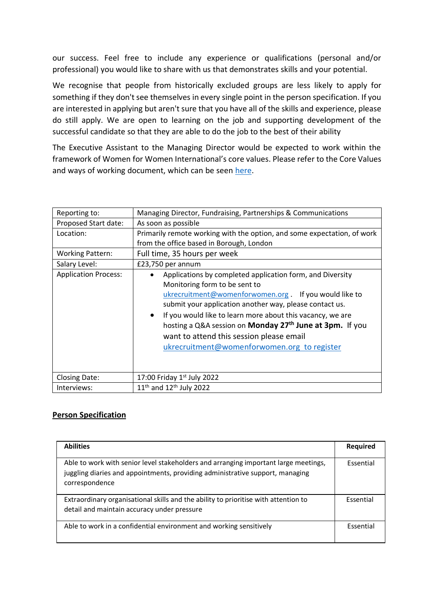our success. Feel free to include any experience or qualifications (personal and/or professional) you would like to share with us that demonstrates skills and your potential.

We recognise that people from historically excluded groups are less likely to apply for something if they don't see themselves in every single point in the person specification. If you are interested in applying but aren't sure that you have all of the skills and experience, please do still apply. We are open to learning on the job and supporting development of the successful candidate so that they are able to do the job to the best of their ability

The Executive Assistant to the Managing Director would be expected to work within the framework of Women for Women International's core values. Please refer to the Core Values and ways of working document, which can be seen [here.](https://www.womenforwomen.org.uk/sites/default/files/Files/Our%20values1_0.pdf)

| Reporting to:               | Managing Director, Fundraising, Partnerships & Communications                                                                                                                                                                                                                                                                                                                                                                                                       |
|-----------------------------|---------------------------------------------------------------------------------------------------------------------------------------------------------------------------------------------------------------------------------------------------------------------------------------------------------------------------------------------------------------------------------------------------------------------------------------------------------------------|
| Proposed Start date:        | As soon as possible                                                                                                                                                                                                                                                                                                                                                                                                                                                 |
| Location:                   | Primarily remote working with the option, and some expectation, of work<br>from the office based in Borough, London                                                                                                                                                                                                                                                                                                                                                 |
| <b>Working Pattern:</b>     | Full time, 35 hours per week                                                                                                                                                                                                                                                                                                                                                                                                                                        |
| Salary Level:               | £23,750 per annum                                                                                                                                                                                                                                                                                                                                                                                                                                                   |
| <b>Application Process:</b> | Applications by completed application form, and Diversity<br>Monitoring form to be sent to<br>ukrecruitment@womenforwomen.org . If you would like to<br>submit your application another way, please contact us.<br>If you would like to learn more about this vacancy, we are<br>$\bullet$<br>hosting a Q&A session on <b>Monday 27<sup>th</sup> June at 3pm.</b> If you<br>want to attend this session please email<br>ukrecruitment@womenforwomen.org to register |
| <b>Closing Date:</b>        | 17:00 Friday $1st$ July 2022                                                                                                                                                                                                                                                                                                                                                                                                                                        |
| Interviews:                 | 11 <sup>th</sup> and 12 <sup>th</sup> July 2022                                                                                                                                                                                                                                                                                                                                                                                                                     |

## **Person Specification**

| <b>Abilities</b>                                                                                                                                                                       | Required  |
|----------------------------------------------------------------------------------------------------------------------------------------------------------------------------------------|-----------|
| Able to work with senior level stakeholders and arranging important large meetings,<br>juggling diaries and appointments, providing administrative support, managing<br>correspondence | Essential |
| Extraordinary organisational skills and the ability to prioritise with attention to<br>detail and maintain accuracy under pressure                                                     | Essential |
| Able to work in a confidential environment and working sensitively                                                                                                                     | Essential |